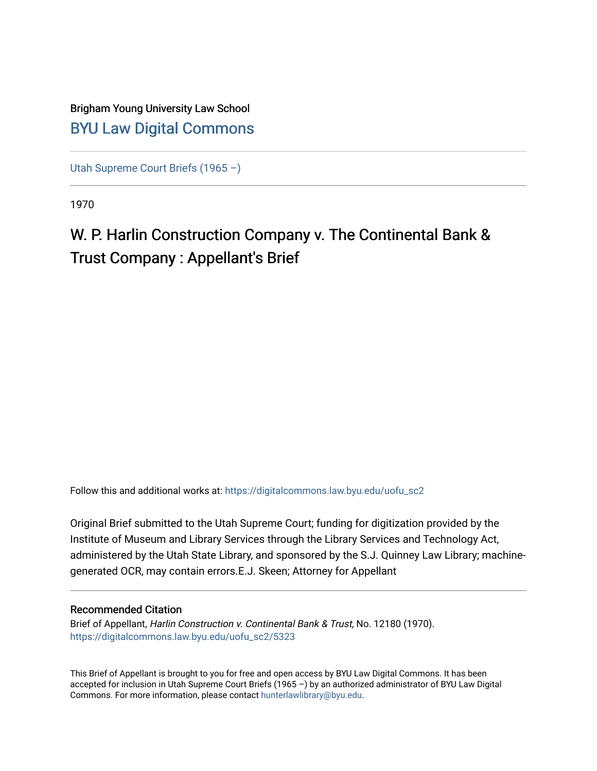## Brigham Young University Law School [BYU Law Digital Commons](https://digitalcommons.law.byu.edu/)

[Utah Supreme Court Briefs \(1965 –\)](https://digitalcommons.law.byu.edu/uofu_sc2)

1970

## W. P. Harlin Construction Company v. The Continental Bank & Trust Company : Appellant's Brief

Follow this and additional works at: [https://digitalcommons.law.byu.edu/uofu\\_sc2](https://digitalcommons.law.byu.edu/uofu_sc2?utm_source=digitalcommons.law.byu.edu%2Fuofu_sc2%2F5323&utm_medium=PDF&utm_campaign=PDFCoverPages)

Original Brief submitted to the Utah Supreme Court; funding for digitization provided by the Institute of Museum and Library Services through the Library Services and Technology Act, administered by the Utah State Library, and sponsored by the S.J. Quinney Law Library; machinegenerated OCR, may contain errors.E.J. Skeen; Attorney for Appellant

#### Recommended Citation

Brief of Appellant, Harlin Construction v. Continental Bank & Trust, No. 12180 (1970). [https://digitalcommons.law.byu.edu/uofu\\_sc2/5323](https://digitalcommons.law.byu.edu/uofu_sc2/5323?utm_source=digitalcommons.law.byu.edu%2Fuofu_sc2%2F5323&utm_medium=PDF&utm_campaign=PDFCoverPages) 

This Brief of Appellant is brought to you for free and open access by BYU Law Digital Commons. It has been accepted for inclusion in Utah Supreme Court Briefs (1965 –) by an authorized administrator of BYU Law Digital Commons. For more information, please contact [hunterlawlibrary@byu.edu](mailto:hunterlawlibrary@byu.edu).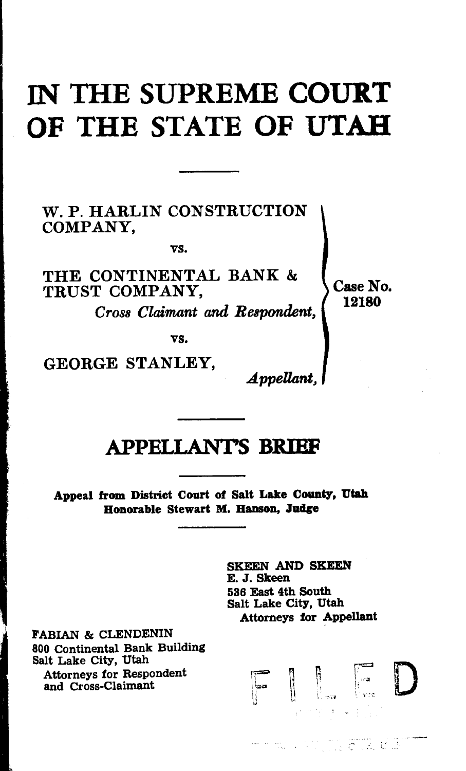## IN THE SUPREME COURT OF THE STATE OF UTAH

W. P. HARLIN CONSTRUCTION COMPANY,

vs.

THE CONTINENTAL BANK & TRUST COMPANY.

*Cross Claimant and Respondent,* 

Case No. 12180

vs.

GEORGE STANLEY,

*.Appellant,* 

## APPELLANTS BRIBF

Appeal from District Court of Salt Lake County, Utah Honorable Stewart M. Hanson, Judge

> SKEEN AND SKEEN E. J. Skeen 536 East 4th South Salt Lake City, Utah Attorneys for Appellant

> > $\begin{bmatrix} 1 & 1 \\ 1 & 1 \\ 1 & 1 \end{bmatrix}$

.- . ,\_ . -

D

FABIAN & CLENDENIN 800 Continental Bank Building Salt Lake City, Utah Attorneys for Respondent and Cross-Claimant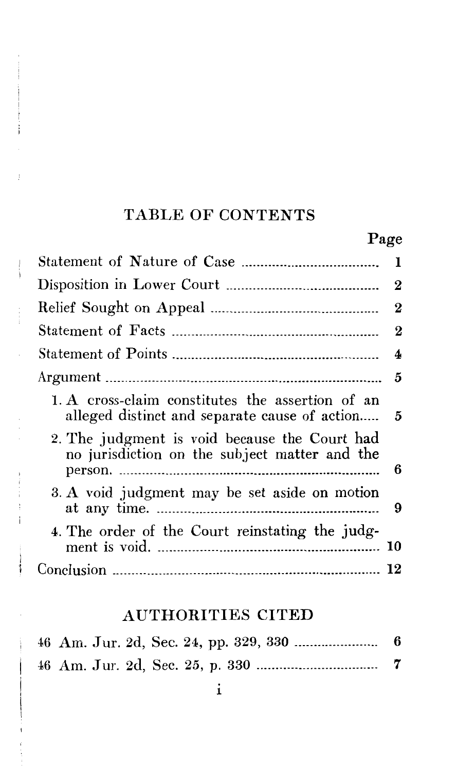## TABLE OF CONTENTS

ì

j

|--|

|                                                                                                   | 1        |
|---------------------------------------------------------------------------------------------------|----------|
|                                                                                                   |          |
|                                                                                                   |          |
|                                                                                                   | $\bf{2}$ |
|                                                                                                   |          |
|                                                                                                   |          |
| 1. A cross-claim constitutes the assertion of an<br>alleged distinct and separate cause of action | - 5      |
| 2. The judgment is void because the Court had<br>no jurisdiction on the subject matter and the    | 6        |
| 3. A void judgment may be set aside on motion                                                     | 9        |
| 4. The order of the Court reinstating the judg-                                                   |          |
|                                                                                                   |          |

## AUTHORITIES CITED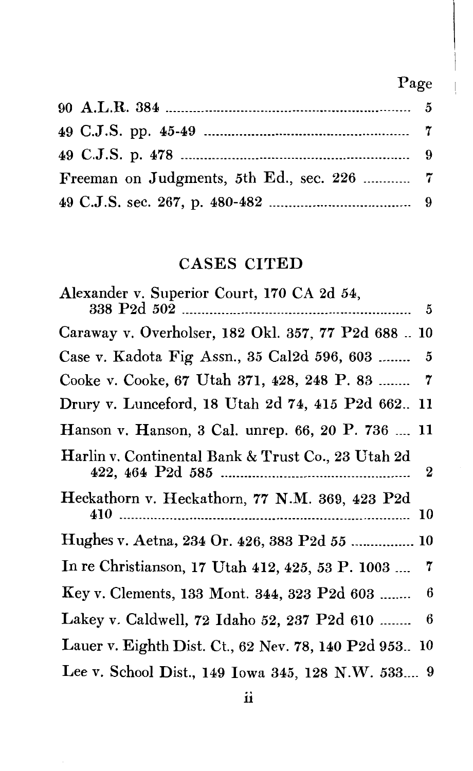## Page

| Freeman on Judgments, 5th Ed., sec. 226  7 |  |
|--------------------------------------------|--|
|                                            |  |

## CASES CITED

| Alexander v. Superior Court, 170 CA 2d 54,                     |
|----------------------------------------------------------------|
|                                                                |
| Caraway v. Overholser, 182 Okl. 357, 77 P2d 688  10            |
| Case v. Kadota Fig Assn., 35 Cal2d 596, 603<br>- 5             |
| Cooke v. Cooke, 67 Utah 371, 428, 248 P. 83  7                 |
| Drury v. Lunceford, 18 Utah 2d 74, 415 P2d 662 11              |
| Hanson v. Hanson, 3 Cal. unrep. 66, 20 P. 736  11              |
| Harlin v. Continental Bank & Trust Co., 23 Utah 2d<br>$\bf{2}$ |
| Heckathorn v. Heckathorn, 77 N.M. 369, 423 P2d                 |
| Hughes v. Aetna, 234 Or. 426, 383 P2d 55  10                   |
| 7<br>In re Christianson, 17 Utah 412, 425, 53 P. 1003          |
| 6<br>Key v. Clements, 133 Mont. 344, 323 P2d 603               |
| 6<br>Lakey v. Caldwell, 72 Idaho 52, 237 P2d 610               |
| Lauer v. Eighth Dist. Ct., 62 Nev. 78, 140 P2d 953 10          |
| Lee v. School Dist., 149 Iowa 345, 128 N.W. 533 9              |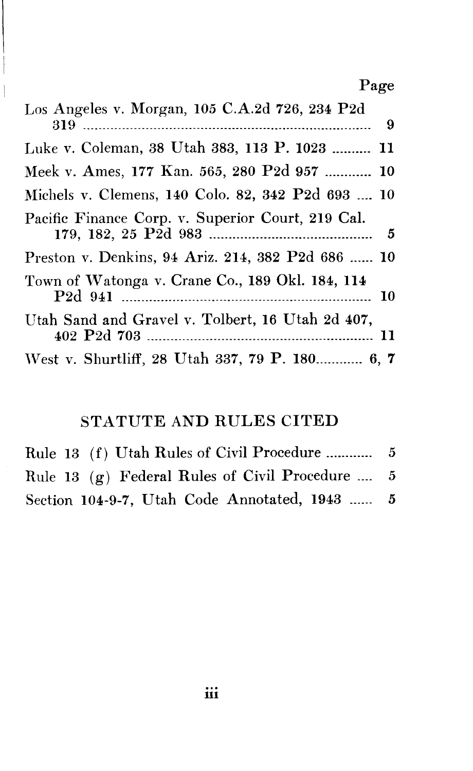## Page

| Los Angeles v. Morgan, 105 C.A.2d 726, 234 P2d    |
|---------------------------------------------------|
|                                                   |
| Luke v. Coleman, 38 Utah 383, 113 P. 1023  11     |
| Meek v. Ames, 177 Kan. 565, 280 P2d 957  10       |
| Michels v. Clemens, 140 Colo. 82, 342 P2d 693  10 |
| Pacific Finance Corp. v. Superior Court, 219 Cal. |
| Preston v. Denkins, 94 Ariz. 214, 382 P2d 686  10 |
| Town of Watonga v. Crane Co., 189 Okl. 184, 114   |
| Utah Sand and Gravel v. Tolbert, 16 Utah 2d 407,  |
| West v. Shurtliff, 28 Utah 337, 79 P. 180 6, 7    |

 $\overline{\phantom{a}}$  $\overline{1}$ 

## STATUTE AND RULES CITED

| Rule 13 (g) Federal Rules of Civil Procedure  5 |  |
|-------------------------------------------------|--|
| Section 104-9-7, Utah Code Annotated, 1943  5   |  |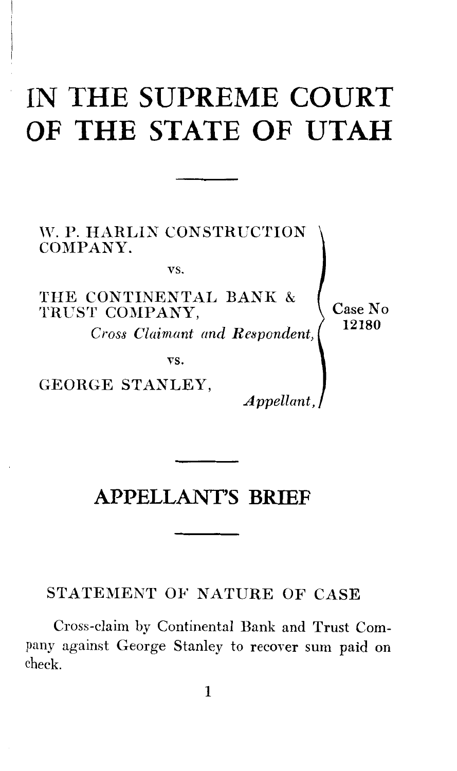# **IN THE SUPREME COURT OF THE STATE OF UTAH**

W. P. HARLIN CONSTRUCTION COMPANY.

vs.

THE CONTINENTAL BANK & TRUST COMPANY,

*Cross Claimant and Respondent,* 

VS.

GEORGE STANLEY,

*Appellant,* 

Case No 12180

## **APPELLANT'S BRIEF**

STATEMENT OF NATURE OF CASE

Cross-claim by Continental Bank and Trust Company against George Stanley to recover sum paid on check.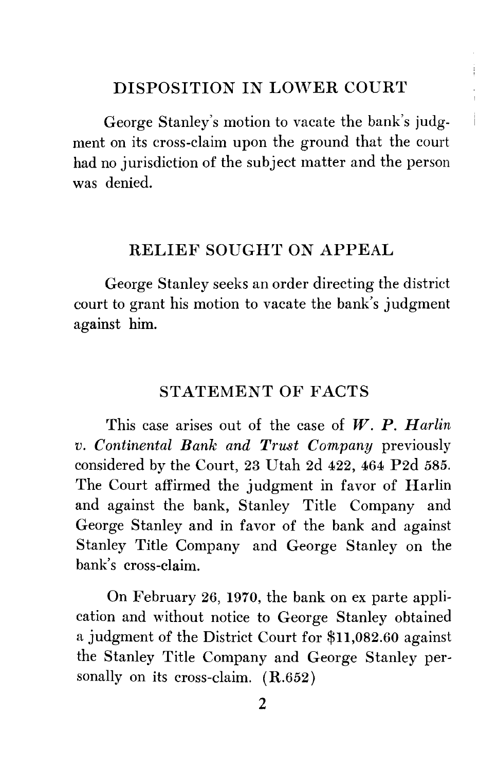#### DISPOSITION IN LOWER COURT

George Stanley's motion to vacate the bank's judgment on its cross-claim upon the ground that the court had no jurisdiction of the subject matter and the person was denied.

#### RELIEF SOUGHT ON APPEAL

George Stanley seeks an order directing the district court to grant his motion to vacate the bank's judgment against him.

#### STATEMENT OF FACTS

This case arises out of the case of *W. P. Harlin v. Continental Bank and Trust Company* previously considered by the Court, 23 Utah 2d 422, 464 P2d 585. The Court affirmed the judgment in favor of Harlin and against the bank, Stanley Title Company and George Stanley and in favor of the bank and against Stanley Title Company and George Stanley on the bank's cross-claim.

On February 26, 1970, the bank on ex parte application and without notice to George Stanley obtained a judgment of the District Court for \$11,082.60 against the Stanley Title Company and George Stanley personally on its cross-claim. (R.652)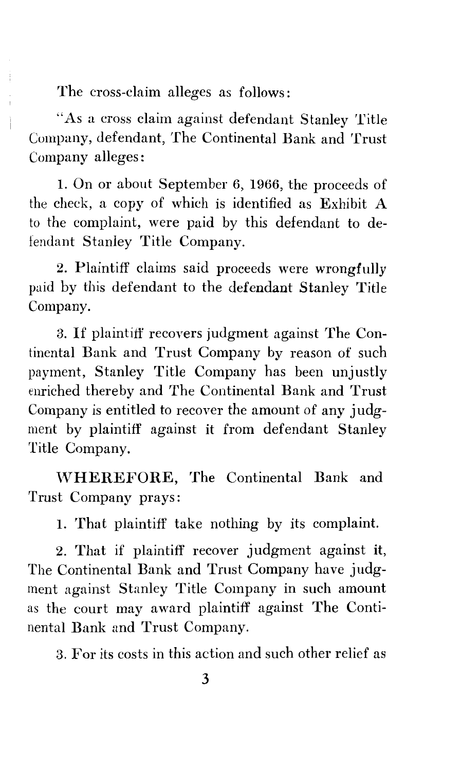The cross-claim alleges as follows:

"As a cross claim against defendant Stanley Title Company, defendant, The Continental Bank and Trust Company alleges:

1. On or about September 6, 1966, the proceeds of the check, a copy of which is identified as Exhibit A to the complaint, were paid by this defendant to defendant Stanley Title Company.

2. Plaintiff claims said proceeds were wrongfulJy paid by this defendant to the defendant Stanley Title Company.

3. If plaintiff recovers judgment against The Continental Bank and Trust Company by reason of such payment, Stanley Title Company has been unjustly enriched thereby and The Continental Bank and Trust Company is entitled to recover the amount of any judgment by plaintiff against it from defendant Stanley Title Company.

\VHEREFORE, The Continental Bank and Trust Company prays:

1. That plaintiff take nothing by its complaint.

2. That if plaintiff recover judgment against it, The Continental Bank and Trust Company have judgment against Stanley Title Company in such amount as the court may award plaintiff against The Continental Bank and Trust Company.

3. For its costs in this action and such other relief as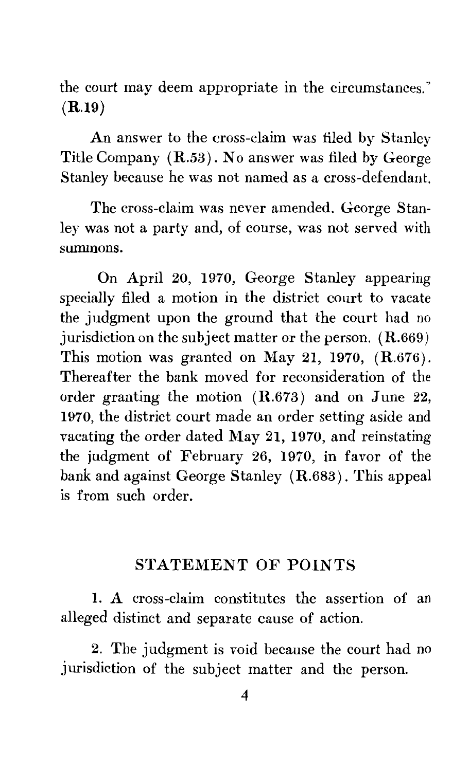the court may deem appropriate in the circumstances." **(R.19)** 

An answer to the cross-claim was filed by Stanley Title Company ( R.53) . No answer was filed by George Stanley because he was not named as a cross-defendant.

The cross-claim was never amended. George Stanley was not a party and, of course, was not served with summons.

On April 20, 1970, George Stanley appearing specially filed a motion in the district court to vacate the judgment upon the ground that the court had no jurisdiction on the subject matter or the person. (R.669) This motion was granted on May 21, 1970, (R.676). Thereafter the bank moved for reconsideration of the order granting the motion  $(R.673)$  and on June 22, 1970, the district court made an order setting aside and vacating the order dated May 21, 1970, and reinstating the judgment of February 26, 1970, in favor of the bank and against George Stanley (R.683). This appeal is from such order.

#### STATEMENT OF POINTS

I. A cross-claim constitutes the assertion of an alleged distinct and separate cause of action.

2. The judgment is void because the court had no jurisdiction of the subject matter and the person.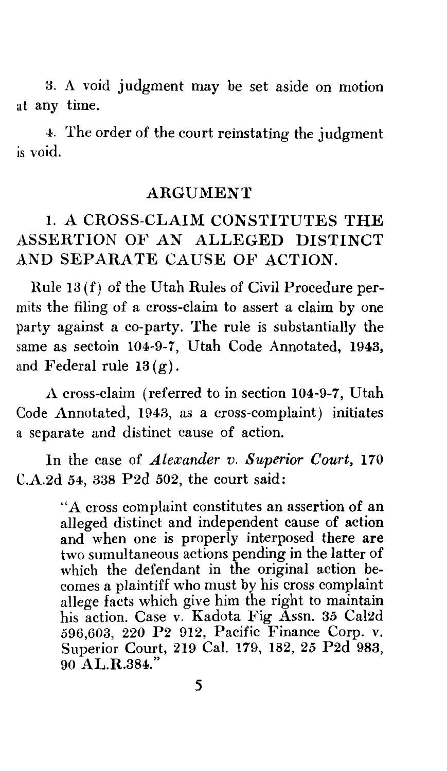3. A void judgment may be set aside on motion at any time.

4. The order of the court reinstating the judgment is void.

#### ARGUMENT

#### 1. A CROSS-CLAIM CONSTITUTES THE ASSERTION OF AN ALLEGED DISTINCT AND SEPARATE CAUSE OF ACTION.

Rule 13 (f) of the Utah Rules of Civil Procedure permits the filing of a cross-claim to assert a claim by one party against a co-party. The rule is substantially the same as sectoin 104-9-7, Utah Code Annotated, 1943, and Federal rule  $13(g)$ .

A cross-claim (referred to in section 104-9-7, Utah Code Annotated, 1943, as a cross-complaint) initiates a separate and distinct cause of action.

In the case of *Alexander v. Superior Court,* 170 C.A.2d 54, 338 P2d 502, the court said:

> "A cross complaint constitutes an assertion of an alleged distinct and independent cause of action and when one is properly interposed there are two sumultaneous actions pending in the latter of which the defendant in the original action becomes a plaintiff who must by his cross complaint allege facts which give him the right to maintain his action. Case v. Kadota Fig Assn. 35 Cal2d 596,603, 220 P2 912, Pacific Finance Corp. v. Superior Court, 219 Cal. 179, 182, 25 P2d 983, 90 AL.R.384."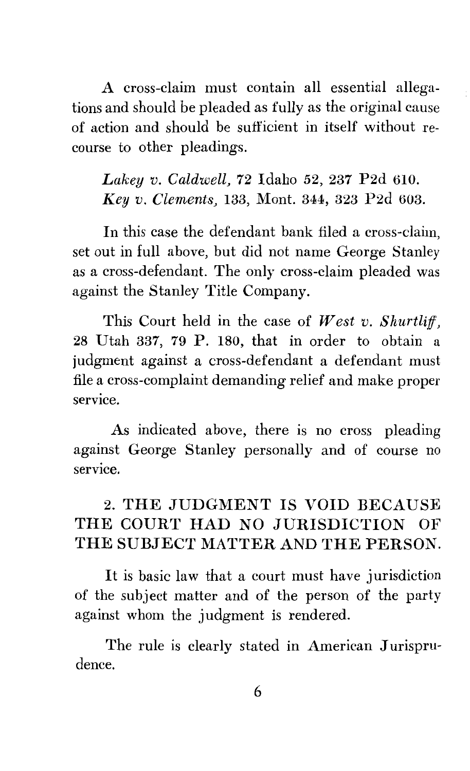A cross-claim must contain all essential allegations and should be pleaded as fully as the original cause of action and should be sufficient in itself without recourse to other pleadings.

*Lakey v. Caldwell,* 72 Idaho 52, 237 P2d 610. *Key v. Clements,* 133, Mont. 344, 323 P2d 603.

In this case the defendant bank filed a cross-claim, set out in full above, but did not name George Stanley as a cross-defendant. The only cross-claim pleaded was against the Stanley Title Company.

This Court held in the case of *West v. Shurtliff,*  28 Utah 337, 79 P. 180, that in order to obtain a judgment against a cross-defendant a defendant must file a cross-complaint demanding relief and make proper service.

As indicated above, there is no cross pleading against George Stanley personally and of course no service.

### 2. THE JUDGMENT IS VOID BECAUSE THE COURT HAD NO JURISDICTION OF THE SUBJECT MATTER AND THE PERSON.

It is basic law that a court must have jurisdiction of the subject matter and of the person of the party against whom the judgment is rendered.

The rule is clearly stated in American Jurisprudence.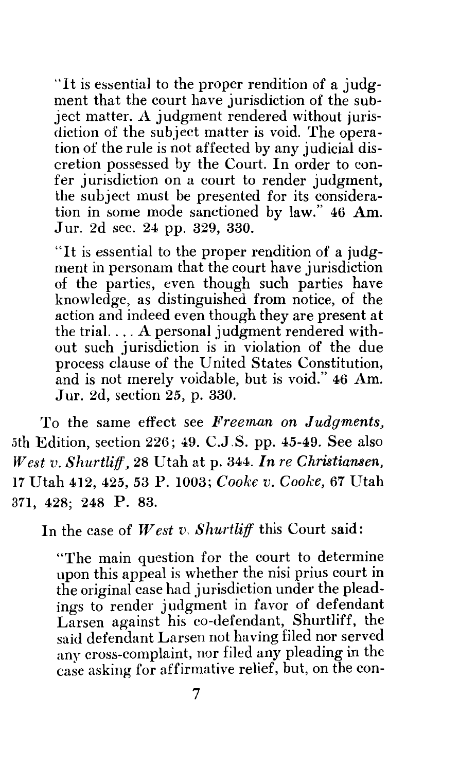"It is essential to the proper rendition of a judgment that the court have jurisdiction of the subject matter. A judgment rendered without jurisdiction of the subject matter is void. The operation of the rule is not affected by any judicial discretion possessed by the Court. In order to confer jurisdiction on a court to render judgment, the subject must be presented for its consideration in some mode sanctioned by law." 46 Am. Jur. 2d sec. 24 pp. 329, 330.

"It is essential to the proper rendition of a judgment in personam that the court have jurisdiction of the parties, even though such parties have knowledge, as distinguished from notice, of the action and indeed even though they are present at the trial. ... A personal judgment rendered without such jurisdiction is in violation of the due process clause of the United States Constitution, and is not merely voidable, but is void." 46 Am. Jur. 2d, section 25, p. 330.

To the same effect see *Freeman on Judgments,*  5th Edition, section 226; 49. C.J.S. pp. 45-49. See also JV *est v. Shurtliff,* 28 Utah at p. 344. *In re Christiansen,*  17 Utah 412, 425, 53 P. 1003; *Cooke v. Cooke,* 67 Utah 371, 428; 248 p. 83.

In the case of *West v. Shurtliff* this Court said:

"The main question for the court to determine upon this appeal is whether the nisi prius court in the original case had jurisdiction under the pleadings to render judgment in favor of defendant Larsen against his co-defendant, Shurtliff, the said defendant Larsen not having filed nor served any cross-complaint, nor filed any pleading in the case asking for affirmative relief, but, on the con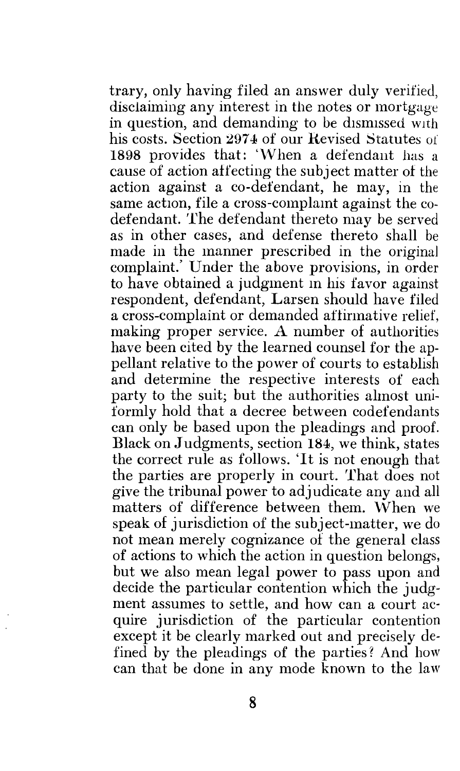trary, only having filed an answer duly verified, disclaiming any interest in the notes or mortgage in question, and demanding to be dismissed with his costs. Section 2974 of our Revised Statutes of 1898 provides that: 'When a defendant has a cause of action affecting the subject matter of the action against a co-defendant, he may, in the same action, file a cross-complamt against the codefendant. The defendant thereto may be served as in other cases, and defense thereto shall be made in the manner prescribed in the original complaint.' Under the above provisions, in order to have obtained a judgment m his favor against respondent, defendant, Larsen should have filed a cross-complaint or demanded aftinnative relief, making proper service. A number of authorities have been cited by the learned counsel for the appellant relative to the power of courts to establish and determine the respective interests of each party to the suit; but the authorities almost uniformly hold that a decree between codefendants can only be based upon the pleadings and proof. Black on Judgments, section 184, we think, states the correct rule as follows. 'It is not enough that the parties are properly in court. That does not give the tribunal power to adjudicate any and all matters of difference between them. When we speak of jurisdiction of the subject-matter, we do not mean merely cognizance of the general class of actions to which the action in question belongs, but we also mean legal power to pass upon and decide the particular contention which the judgment assumes to settle, and how can a court acquire jurisdiction of the particular contention except it be clearly marked out and precisely defined by the pleadings of the parties? And how can that be done in any mode known to the law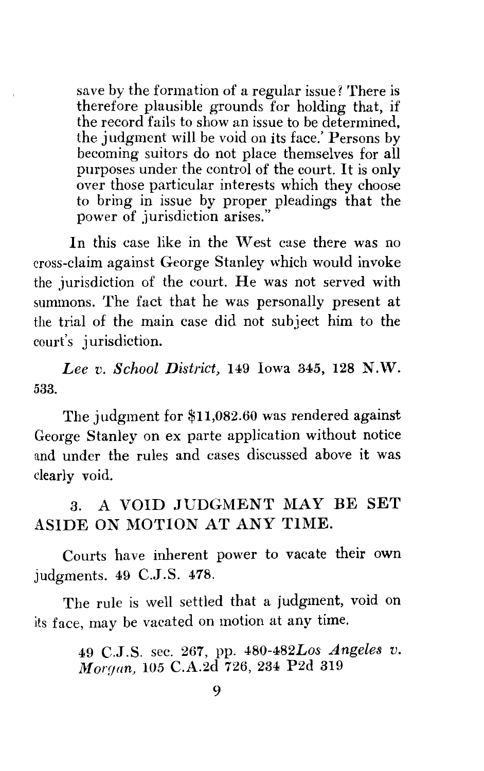save by the formation of a regular issue? There is therefore plausible grounds for holding that, if the record fails to show an issue to be determined, the judgment will be void on its face.' Persons by becoming suitors do not place themselves for all purposes under the control of the court. It is only over those particular interests which they choose to bring in issue by proper pleadings that the power of jurisdiction arises."

In this case like in the West case there was no cross-claim against George Stanley which would invoke the jurisdiction of the court. He was not served with summons. The fact that he was personally present at the trial of the main case did not subject him to the court's jurisdiction.

*Lee v. School District,* 149 Iowa 345, 128 N.W. 533.

The judgment for \$11,082.60 was rendered against George Stanley on ex parte application without notice and under the rules and cases discussed above it was clearly void.

3. A VOID JUDGMENT MAY BE SET ASIDE ON MOTION AT ANY TIME.

Courts have inherent power to vacate their own judgments. 49 C.J.S. 478.

The rule is well settled that a judgment, void on its face, may be vacated on motion at any time.

> 49 C.J.S. sec. 267, pp. 480-482Los *Angeles v. Moryan,* 105 C.A.2d 726, 234 P2d 319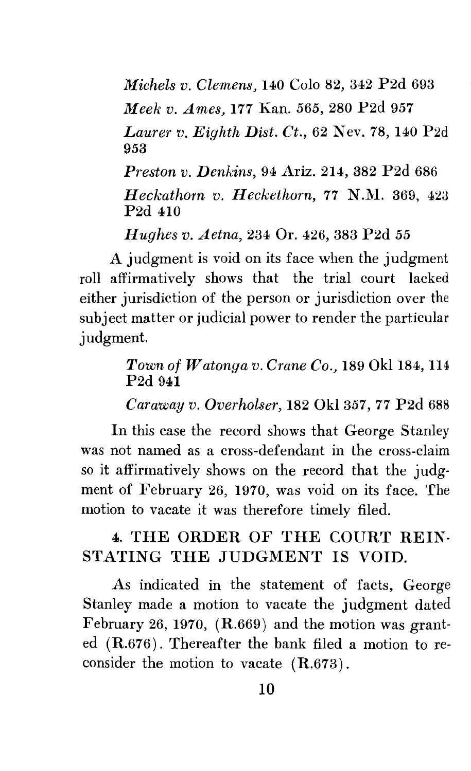*Michels v. Clemens,* 140 Colo 82, 342 P2d 693 *Meek v. Ames,* 177 Kan. *565,* 280 P2d 957 *Laurer v. Eighth Dist. Ct.,* 62 Nev. 78, 140 P2d 953

*Preston v. Denkins,* 94 Ariz. 214, 382 P2d 686 *Heckathorn v. Heckethorn, 77 N.M. 369, 423* P2d 410

*Hughes v. Aetna,* 234 Or. 426, 383 P2d *55* 

A judgment is void on its face when the judgment roll affirmatively shows that the trial court lacked either jurisdiction of the person or jurisdiction over the subject matter or judicial power to render the particular judgment.

#### *Town of Watonga v. Crane Co.,* 189 Okl 184, 114 P2d 941

*Caraway v. Overholser,* 182 Okl 357, 77 P2d 688

In this case the record shows that George Stanley was not named as a cross-defendant in the cross-claim so it affirmatively shows on the record that the judgment of February 26, 1970, was void on its face. The motion to vacate it was therefore timely filed.

#### 4. THE ORDER OF THE COURT REIN-STATING THE JUDGMENT IS VOID.

As indicated in the statement of facts, George Stanley made a motion to vacate the judgment dated February 26, 1970, (R.669) and the motion was granted (R.676). Thereafter the bank filed a motion to reconsider the motion to vacate  $(R.673)$ .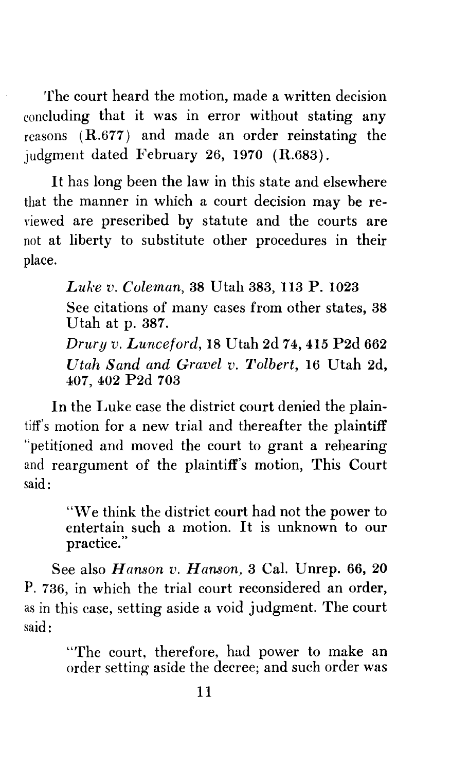The court heard the motion, made a written decision concluding that it was in error without stating any reasons  $(R.677)$  and made an order reinstating the judgment dated February 26, 1970 (R.683).

It has long been the law in this state and elsewhere that the manner in which a court decision may be reviewed are prescribed by statute and the courts are not at liberty to substitute other procedures in their place.

> *Luke v. Coleman,* 38 Utah 383, 113 P. 1023 See citations of many cases from other states, 38 Utah at p. 387. *Drury v. Lunceford,* 18 Utah 2d 74, 415 P2d 662 *Utah Sand and Gravel v. Tolbert,* 16 Utah 2d, 407, 402 P2d 703

In the Luke case the district court denied the plaintiff's motion for a new trial and thereafter the plaintiff "petitioned and moved the court to grant a rehearing and reargument of the plaintiff's motion, This Court said:

> "We think the district court had not the power to entertain such a motion. It is unknown to our practice."

See also *Hanson v. Hanson,* 3 Cal. Unrep. 66, 20 P. 736, in which the trial court reconsidered an order, as in this case, setting aside a void judgment. The court said:

> "The court, therefore, had power to make an order setting aside the decree; and such order was